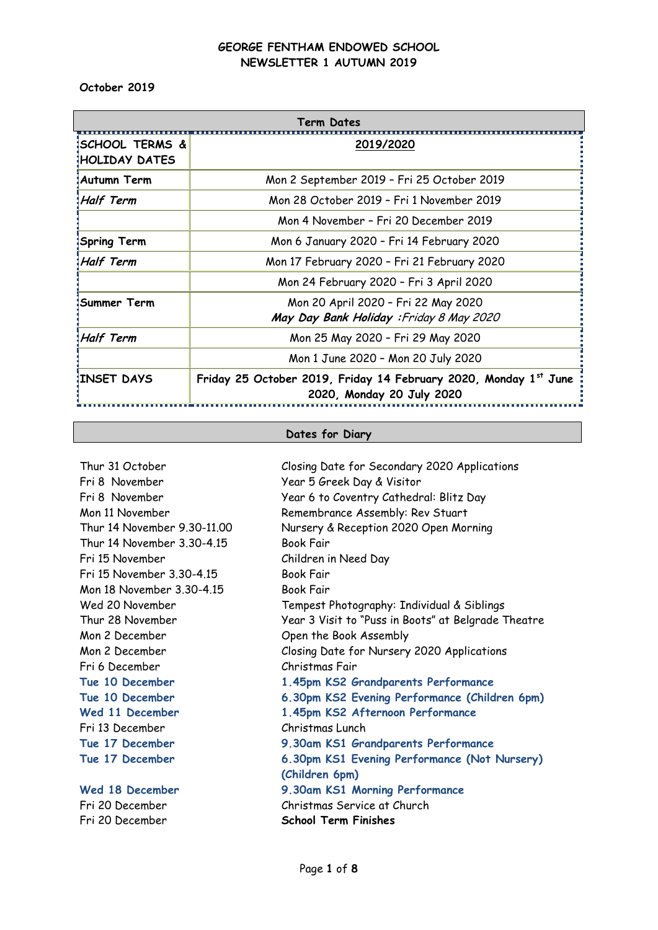**October 2019**

| Term Dates                                         |                                                                                               |  |  |  |  |  |  |
|----------------------------------------------------|-----------------------------------------------------------------------------------------------|--|--|--|--|--|--|
| <b>ISCHOOL TERMS &amp;</b><br><b>HOLIDAY DATES</b> | 2019/2020                                                                                     |  |  |  |  |  |  |
| <b>Autumn Term</b>                                 | Mon 2 September 2019 - Fri 25 October 2019                                                    |  |  |  |  |  |  |
| Half Term!                                         | Mon 28 October 2019 - Fri 1 November 2019                                                     |  |  |  |  |  |  |
|                                                    | Mon 4 November - Fri 20 December 2019                                                         |  |  |  |  |  |  |
| Spring Term                                        | Mon 6 January 2020 - Fri 14 February 2020                                                     |  |  |  |  |  |  |
| Half Term                                          | Mon 17 February 2020 - Fri 21 February 2020                                                   |  |  |  |  |  |  |
|                                                    | Mon 24 February 2020 - Fri 3 April 2020                                                       |  |  |  |  |  |  |
| ¦Summer Term                                       | Mon 20 April 2020 - Fri 22 May 2020<br>May Day Bank Holiday: Friday 8 May 2020                |  |  |  |  |  |  |
| Half Term                                          | Mon 25 May 2020 - Fri 29 May 2020                                                             |  |  |  |  |  |  |
|                                                    | Mon 1 June 2020 - Mon 20 July 2020                                                            |  |  |  |  |  |  |
| <b>INSET DAYS</b>                                  | Friday 25 October 2019, Friday 14 February 2020, Monday 1st June<br>2020, Monday 20 July 2020 |  |  |  |  |  |  |

#### **Dates for Diary**

Thur 31 October Closing Date for Secondary 2020 Applications Fri 8 November Year 5 Greek Day & Visitor Thur 14 November 3.30-4.15 Book Fair Fri 15 November Children in Need Day Fri 15 November 3.30-4.15 Book Fair Mon 18 November 3.30-4.15 Book Fair Mon 2 December Open the Book Assembly Fri 6 December Christmas Fair Fri 13 December Christmas Lunch

Fri 8 November Year 6 to Coventry Cathedral: Blitz Day Mon 11 November Remembrance Assembly: Rev Stuart Thur 14 November 9.30-11.00 Nursery & Reception 2020 Open Morning Wed 20 November Tempest Photography: Individual & Siblings Thur 28 November Year 3 Visit to "Puss in Boots" at Belgrade Theatre Mon 2 December Closing Date for Nursery 2020 Applications **Tue 10 December 1.45pm KS2 Grandparents Performance Tue 10 December 6.30pm KS2 Evening Performance (Children 6pm) Wed 11 December 1.45pm KS2 Afternoon Performance Tue 17 December 9.30am KS1 Grandparents Performance Tue 17 December 6.30pm KS1 Evening Performance (Not Nursery) (Children 6pm) Wed 18 December 9.30am KS1 Morning Performance** Fri 20 December Christmas Service at Church Fri 20 December **School Term Finishes**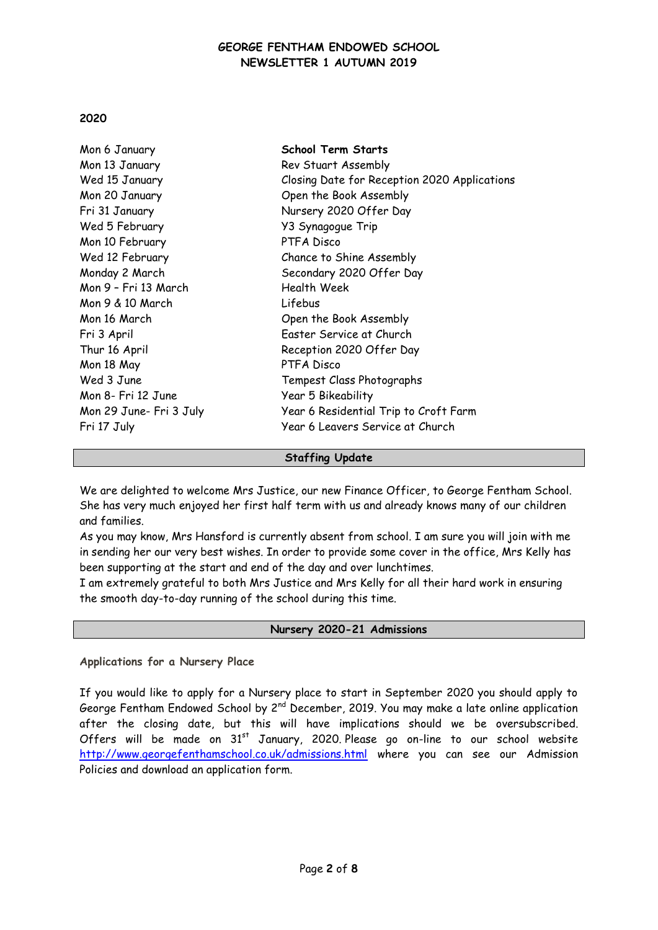## **2020**

| Mon 6 January           | <b>School Term Starts</b>                    |
|-------------------------|----------------------------------------------|
| Mon 13 January          | Rev Stuart Assembly                          |
| Wed 15 January          | Closing Date for Reception 2020 Applications |
| Mon 20 January          | Open the Book Assembly                       |
| Fri 31 January          | Nursery 2020 Offer Day                       |
| Wed 5 February          | Y3 Synagogue Trip                            |
| Mon 10 February         | PTFA Disco                                   |
| Wed 12 February         | Chance to Shine Assembly                     |
| Monday 2 March          | Secondary 2020 Offer Day                     |
| Mon 9 - Fri 13 March    | Health Week                                  |
| Mon 9 & 10 March        | Lifebus                                      |
| Mon 16 March            | Open the Book Assembly                       |
| Fri 3 April             | Easter Service at Church                     |
| Thur 16 April           | Reception 2020 Offer Day                     |
| Mon 18 May              | PTFA Disco                                   |
| Wed 3 June              | Tempest Class Photographs                    |
| Mon 8- Fri 12 June      | Year 5 Bikeability                           |
| Mon 29 June- Fri 3 July | Year 6 Residential Trip to Croft Farm        |
| Fri 17 July             | Year 6 Leavers Service at Church             |
|                         |                                              |

#### **Staffing Update**

We are delighted to welcome Mrs Justice, our new Finance Officer, to George Fentham School. She has very much enjoyed her first half term with us and already knows many of our children and families.

As you may know, Mrs Hansford is currently absent from school. I am sure you will join with me in sending her our very best wishes. In order to provide some cover in the office, Mrs Kelly has been supporting at the start and end of the day and over lunchtimes.

I am extremely grateful to both Mrs Justice and Mrs Kelly for all their hard work in ensuring the smooth day-to-day running of the school during this time.

#### **Nursery 2020-21 Admissions**

#### **Applications for a Nursery Place**

If you would like to apply for a Nursery place to start in September 2020 you should apply to George Fentham Endowed School by  $2^{nd}$  December, 2019. You may make a late online application after the closing date, but this will have implications should we be oversubscribed. Offers will be made on  $31^{st}$  January, 2020. Please go on-line to our school website <http://www.georgefenthamschool.co.uk/admissions.html> where you can see our Admission Policies and download an application form.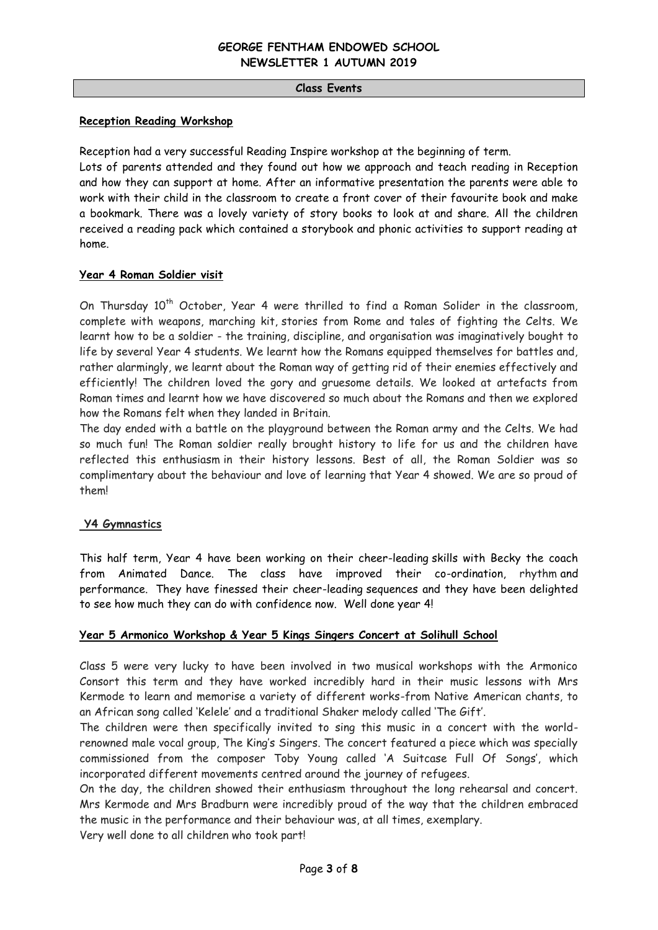#### **Class Events**

#### **Reception Reading Workshop**

Reception had a very successful Reading Inspire workshop at the beginning of term.

Lots of parents attended and they found out how we approach and teach reading in Reception and how they can support at home. After an informative presentation the parents were able to work with their child in the classroom to create a front cover of their favourite book and make a bookmark. There was a lovely variety of story books to look at and share. All the children received a reading pack which contained a storybook and phonic activities to support reading at home.

## **Year 4 Roman Soldier visit**

On Thursday  $10^{th}$  October, Year 4 were thrilled to find a Roman Solider in the classroom, complete with weapons, marching kit, stories from Rome and tales of fighting the Celts. We learnt how to be a soldier - the training, discipline, and organisation was imaginatively bought to life by several Year 4 students. We learnt how the Romans equipped themselves for battles and, rather alarmingly, we learnt about the Roman way of getting rid of their enemies effectively and efficiently! The children loved the gory and gruesome details. We looked at artefacts from Roman times and learnt how we have discovered so much about the Romans and then we explored how the Romans felt when they landed in Britain.

The day ended with a battle on the playground between the Roman army and the Celts. We had so much fun! The Roman soldier really brought history to life for us and the children have reflected this enthusiasm in their history lessons. Best of all, the Roman Soldier was so complimentary about the behaviour and love of learning that Year 4 showed. We are so proud of them!

#### **Y4 Gymnastics**

This half term, Year 4 have been working on their cheer-leading skills with Becky the coach from Animated Dance. The class have improved their co-ordination, rhythm and performance. They have finessed their cheer-leading sequences and they have been delighted to see how much they can do with confidence now. Well done year 4!

#### **Year 5 Armonico Workshop & Year 5 Kings Singers Concert at Solihull School**

Class 5 were very lucky to have been involved in two musical workshops with the Armonico Consort this term and they have worked incredibly hard in their music lessons with Mrs Kermode to learn and memorise a variety of different works-from Native American chants, to an African song called 'Kelele' and a traditional Shaker melody called 'The Gift'.

The children were then specifically invited to sing this music in a concert with the worldrenowned male vocal group, The King's Singers. The concert featured a piece which was specially commissioned from the composer Toby Young called 'A Suitcase Full Of Songs', which incorporated different movements centred around the journey of refugees.

On the day, the children showed their enthusiasm throughout the long rehearsal and concert. Mrs Kermode and Mrs Bradburn were incredibly proud of the way that the children embraced the music in the performance and their behaviour was, at all times, exemplary.

Very well done to all children who took part!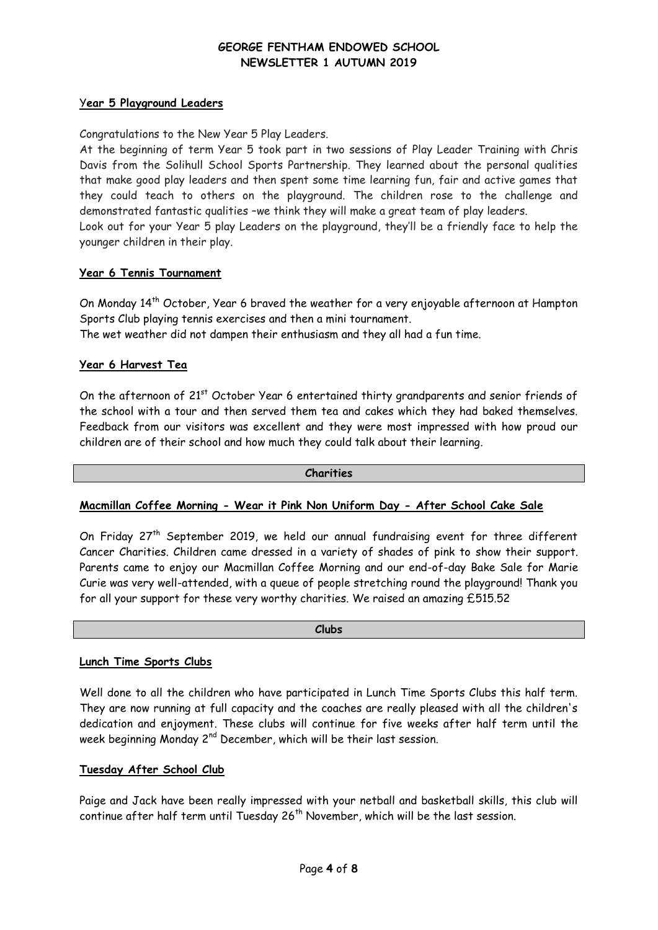## Y**ear 5 Playground Leaders**

Congratulations to the New Year 5 Play Leaders.

At the beginning of term Year 5 took part in two sessions of Play Leader Training with Chris Davis from the Solihull School Sports Partnership. They learned about the personal qualities that make good play leaders and then spent some time learning fun, fair and active games that they could teach to others on the playground. The children rose to the challenge and demonstrated fantastic qualities –we think they will make a great team of play leaders. Look out for your Year 5 play Leaders on the playground, they'll be a friendly face to help the younger children in their play.

## **Year 6 Tennis Tournament**

On Monday 14<sup>th</sup> October, Year 6 braved the weather for a very enjoyable afternoon at Hampton Sports Club playing tennis exercises and then a mini tournament. The wet weather did not dampen their enthusiasm and they all had a fun time.

# **Year 6 Harvest Tea**

On the afternoon of 21<sup>st</sup> October Year 6 entertained thirty grandparents and senior friends of the school with a tour and then served them tea and cakes which they had baked themselves. Feedback from our visitors was excellent and they were most impressed with how proud our children are of their school and how much they could talk about their learning.

#### **Charities**

#### **Macmillan Coffee Morning - Wear it Pink Non Uniform Day - After School Cake Sale**

On Friday 27<sup>th</sup> September 2019, we held our annual fundraising event for three different Cancer Charities. Children came dressed in a variety of shades of pink to show their support. Parents came to enjoy our Macmillan Coffee Morning and our end-of-day Bake Sale for Marie Curie was very well-attended, with a queue of people stretching round the playground! Thank you for all your support for these very worthy charities. We raised an amazing £515.52

**Clubs**

#### **Lunch Time Sports Clubs**

Well done to all the children who have participated in Lunch Time Sports Clubs this half term. They are now running at full capacity and the coaches are really pleased with all the children's dedication and enjoyment. These clubs will continue for five weeks after half term until the week beginning Monday 2<sup>nd</sup> December, which will be their last session.

## **Tuesday After School Club**

Paige and Jack have been really impressed with your netball and basketball skills, this club will continue after half term until Tuesday  $26<sup>th</sup>$  November, which will be the last session.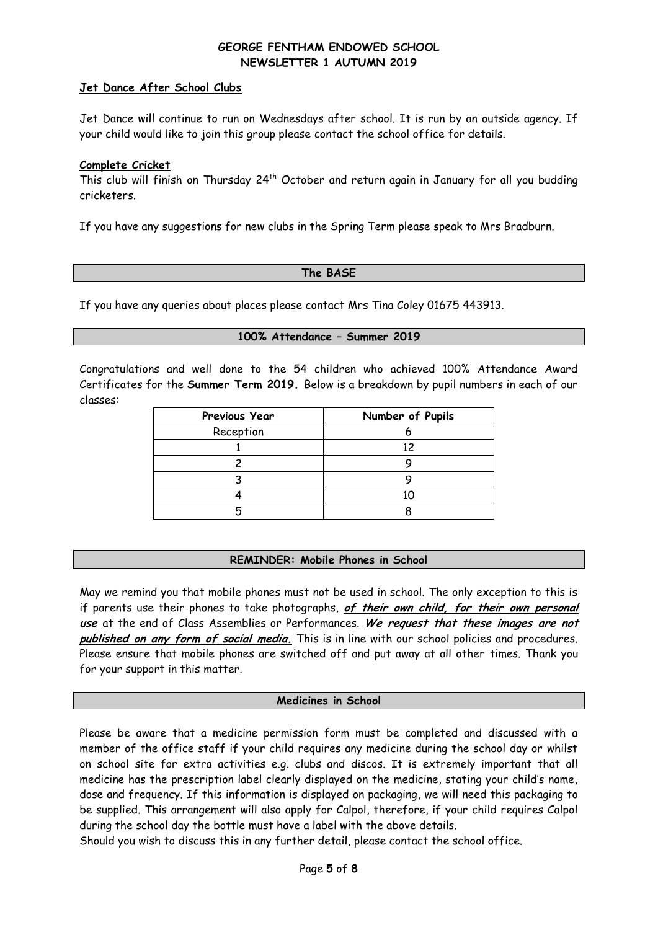## **Jet Dance After School Clubs**

Jet Dance will continue to run on Wednesdays after school. It is run by an outside agency. If your child would like to join this group please contact the school office for details.

#### **Complete Cricket**

This club will finish on Thursday 24<sup>th</sup> October and return again in January for all you budding cricketers.

If you have any suggestions for new clubs in the Spring Term please speak to Mrs Bradburn.

#### **The BASE**

If you have any queries about places please contact Mrs Tina Coley 01675 443913.

#### **100% Attendance – Summer 2019**

Congratulations and well done to the 54 children who achieved 100% Attendance Award Certificates for the **Summer Term 2019.** Below is a breakdown by pupil numbers in each of our classes:

| Previous Year | Number of Pupils |
|---------------|------------------|
| Reception     |                  |
|               | 12               |
|               |                  |
|               |                  |
|               |                  |
|               |                  |

#### **REMINDER: Mobile Phones in School**

May we remind you that mobile phones must not be used in school. The only exception to this is if parents use their phones to take photographs, **of their own child, for their own personal use** at the end of Class Assemblies or Performances. **We request that these images are not published on any form of social media.** This is in line with our school policies and procedures. Please ensure that mobile phones are switched off and put away at all other times. Thank you for your support in this matter.

#### **Medicines in School**

Please be aware that a medicine permission form must be completed and discussed with a member of the office staff if your child requires any medicine during the school day or whilst on school site for extra activities e.g. clubs and discos. It is extremely important that all medicine has the prescription label clearly displayed on the medicine, stating your child's name, dose and frequency. If this information is displayed on packaging, we will need this packaging to be supplied. This arrangement will also apply for Calpol, therefore, if your child requires Calpol during the school day the bottle must have a label with the above details.

Should you wish to discuss this in any further detail, please contact the school office.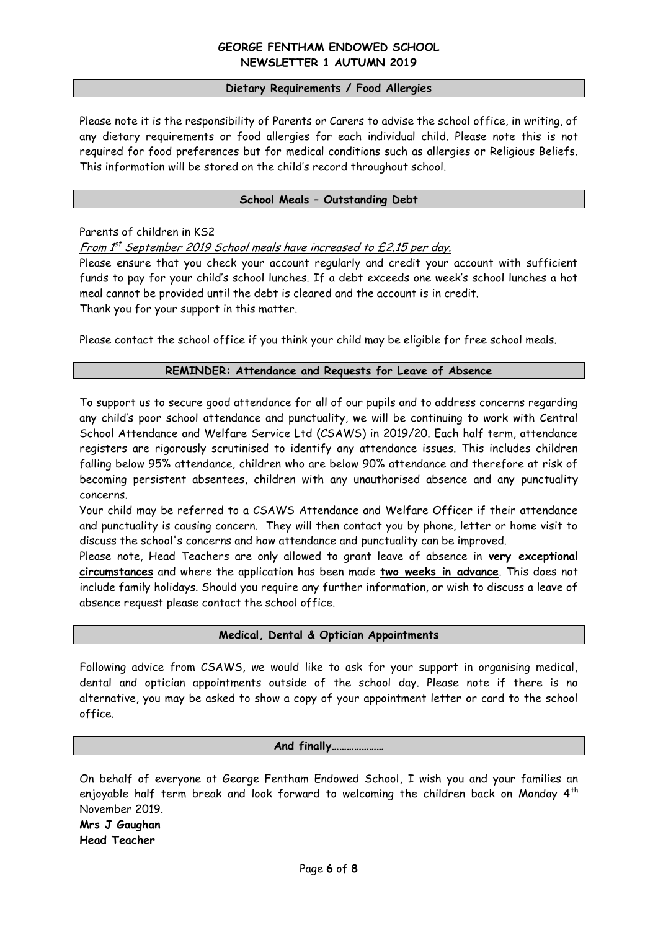#### **Dietary Requirements / Food Allergies**

Please note it is the responsibility of Parents or Carers to advise the school office, in writing, of any dietary requirements or food allergies for each individual child. Please note this is not required for food preferences but for medical conditions such as allergies or Religious Beliefs. This information will be stored on the child's record throughout school.

## **School Meals – Outstanding Debt**

Parents of children in KS2

From I<sup>st</sup> September 2019 School meals have increased to £2.15 per day.

Please ensure that you check your account regularly and credit your account with sufficient funds to pay for your child's school lunches. If a debt exceeds one week's school lunches a hot meal cannot be provided until the debt is cleared and the account is in credit. Thank you for your support in this matter.

Please contact the school office if you think your child may be eligible for free school meals.

## **REMINDER: Attendance and Requests for Leave of Absence**

To support us to secure good attendance for all of our pupils and to address concerns regarding any child's poor school attendance and punctuality, we will be continuing to work with Central School Attendance and Welfare Service Ltd (CSAWS) in 2019/20. Each half term, attendance registers are rigorously scrutinised to identify any attendance issues. This includes children falling below 95% attendance, children who are below 90% attendance and therefore at risk of becoming persistent absentees, children with any unauthorised absence and any punctuality concerns.

Your child may be referred to a CSAWS Attendance and Welfare Officer if their attendance and punctuality is causing concern. They will then contact you by phone, letter or home visit to discuss the school's concerns and how attendance and punctuality can be improved.

Please note, Head Teachers are only allowed to grant leave of absence in **very exceptional circumstances** and where the application has been made **two weeks in advance**. This does not include family holidays. Should you require any further information, or wish to discuss a leave of absence request please contact the school office.

#### **Medical, Dental & Optician Appointments**

Following advice from CSAWS, we would like to ask for your support in organising medical, dental and optician appointments outside of the school day. Please note if there is no alternative, you may be asked to show a copy of your appointment letter or card to the school office.

## **And finally…………………**

On behalf of everyone at George Fentham Endowed School, I wish you and your families an enjoyable half term break and look forward to welcoming the children back on Monday  $4<sup>th</sup>$ November 2019.

**Mrs J Gaughan Head Teacher**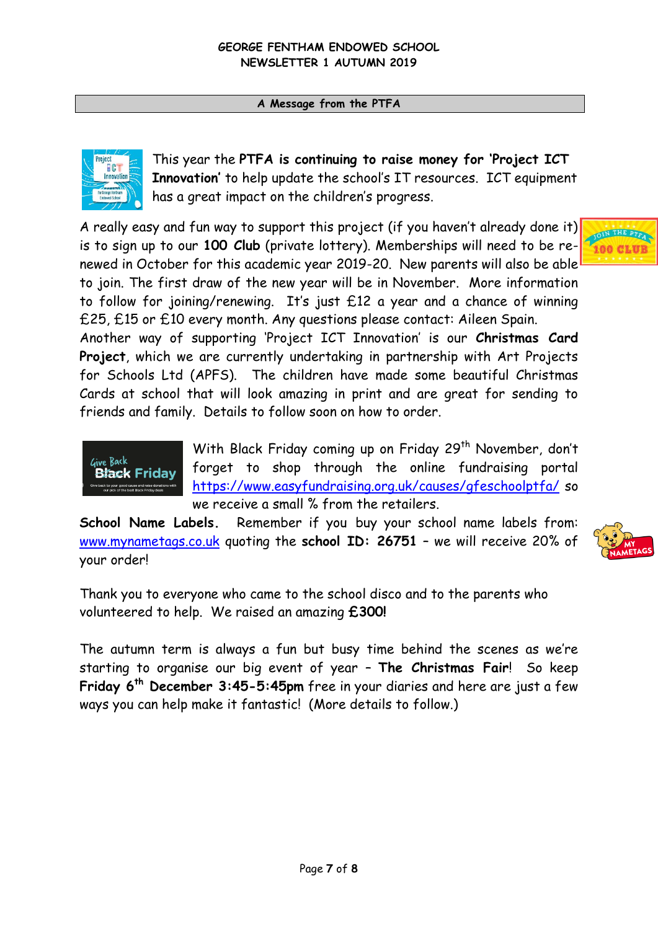**A Message from the PTFA**



This year the **PTFA is continuing to raise money for 'Project ICT Innovation'** to help update the school's IT resources. ICT equipment has a great impact on the children's progress.

A really easy and fun way to support this project (if you haven't already done it) is to sign up to our **100 Club** (private lottery). Memberships will need to be renewed in October for this academic year 2019-20. New parents will also be able to join. The first draw of the new year will be in November. More information to follow for joining/renewing. It's just £12 a year and a chance of winning £25, £15 or £10 every month. Any questions please contact: Aileen Spain.

Another way of supporting 'Project ICT Innovation' is our **Christmas Card Project**, which we are currently undertaking in partnership with Art Projects for Schools Ltd (APFS). The children have made some beautiful Christmas Cards at school that will look amazing in print and are great for sending to friends and family. Details to follow soon on how to order.



With Black Friday coming up on Friday 29<sup>th</sup> November, don't forget to shop through the online fundraising portal <https://www.easyfundraising.org.uk/causes/gfeschoolptfa/> so we receive a small % from the retailers.

**School Name Labels.** Remember if you buy your school name labels from: [www.mynametags.co.uk](http://www.mynametags.co.uk/) quoting the **school ID: 26751** – we will receive 20% of your order!



Thank you to everyone who came to the school disco and to the parents who volunteered to help. We raised an amazing **£300!**

The autumn term is always a fun but busy time behind the scenes as we're starting to organise our big event of year – **The Christmas Fair**! So keep **Friday 6th December 3:45-5:45pm** free in your diaries and here are just a few ways you can help make it fantastic! (More details to follow.)